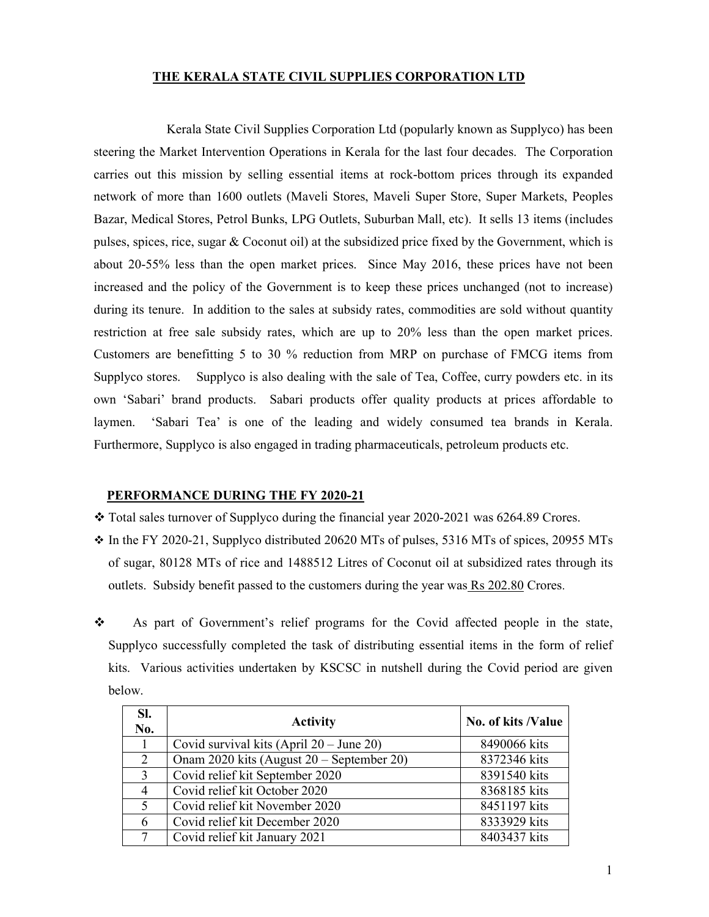## **THE KERALA STATE CIVIL SUPPLIES CORPORATION LTD**

 Kerala State Civil Supplies Corporation Ltd (popularly known as Supplyco) has been steering the Market Intervention Operations in Kerala for the last four decades. The Corporation carries out this mission by selling essential items at rock-bottom prices through its expanded network of more than 1600 outlets (Maveli Stores, Maveli Super Store, Super Markets, Peoples Bazar, Medical Stores, Petrol Bunks, LPG Outlets, Suburban Mall, etc). It sells 13 items (includes pulses, spices, rice, sugar & Coconut oil) at the subsidized price fixed by the Government, which is about 20-55% less than the open market prices. Since May 2016, these prices have not been increased and the policy of the Government is to keep these prices unchanged (not to increase) during its tenure. In addition to the sales at subsidy rates, commodities are sold without quantity restriction at free sale subsidy rates, which are up to 20% less than the open market prices. Customers are benefitting 5 to 30 % reduction from MRP on purchase of FMCG items from Supplyco stores. Supplyco is also dealing with the sale of Tea, Coffee, curry powders etc. in its own 'Sabari' brand products. Sabari products offer quality products at prices affordable to laymen. 'Sabari Tea' is one of the leading and widely consumed tea brands in Kerala. Furthermore, Supplyco is also engaged in trading pharmaceuticals, petroleum products etc.

## **PERFORMANCE DURING THE FY 2020-21**

- \* Total sales turnover of Supplyco during the financial year 2020-2021 was 6264.89 Crores.
- $\div$  In the FY 2020-21, Supplyco distributed 20620 MTs of pulses, 5316 MTs of spices, 20955 MTs of sugar, 80128 MTs of rice and 1488512 Litres of Coconut oil at subsidized rates through its outlets. Subsidy benefit passed to the customers during the year was Rs 202.80 Crores.
- As part of Government's relief programs for the Covid affected people in the state, Supplyco successfully completed the task of distributing essential items in the form of relief kits. Various activities undertaken by KSCSC in nutshell during the Covid period are given below.

| SI.<br>No.     | <b>Activity</b>                           | No. of kits /Value |
|----------------|-------------------------------------------|--------------------|
|                | Covid survival kits $(Apri 20 - June 20)$ | 8490066 kits       |
| 2              | Onam 2020 kits (August 20 – September 20) | 8372346 kits       |
| $\overline{3}$ | Covid relief kit September 2020           | 8391540 kits       |
| $\overline{4}$ | Covid relief kit October 2020             | 8368185 kits       |
| 5              | Covid relief kit November 2020            | 8451197 kits       |
| 6              | Covid relief kit December 2020            | 8333929 kits       |
|                | Covid relief kit January 2021             | 8403437 kits       |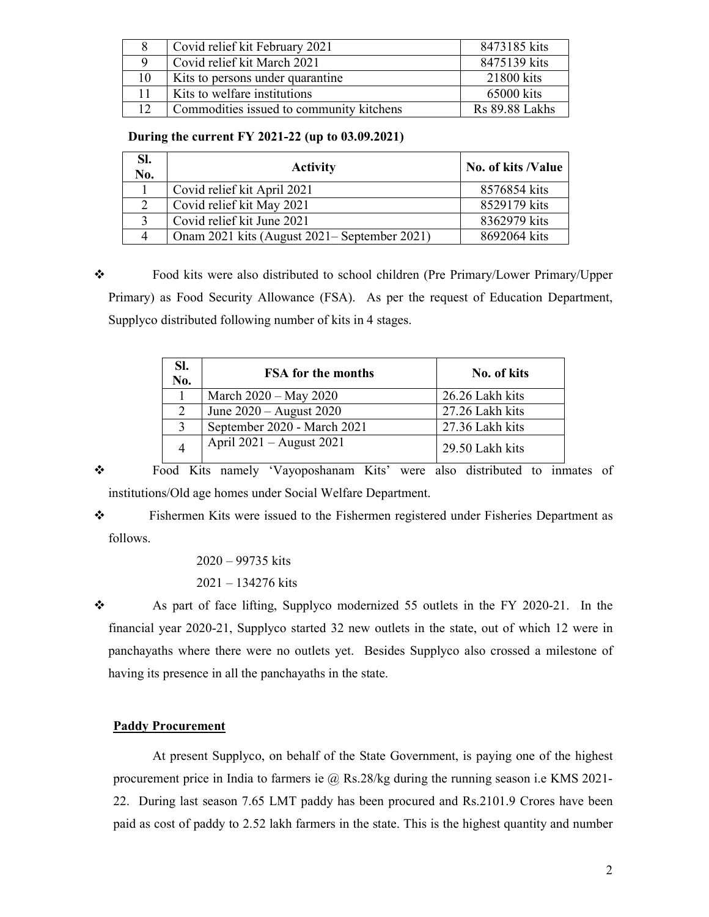|                 | Covid relief kit February 2021           | 8473185 kits   |
|-----------------|------------------------------------------|----------------|
|                 | Covid relief kit March 2021              | 8475139 kits   |
| 10              | Kits to persons under quarantine         | 21800 kits     |
|                 | Kits to welfare institutions             | 65000 kits     |
| 12 <sup>°</sup> | Commodities issued to community kitchens | Rs 89.88 Lakhs |

**During the current FY 2021-22 (up to 03.09.2021)** 

| SI.<br>No. | <b>Activity</b>                              | No. of kits /Value |
|------------|----------------------------------------------|--------------------|
|            | Covid relief kit April 2021                  | 8576854 kits       |
|            | Covid relief kit May 2021                    | 8529179 kits       |
|            | Covid relief kit June 2021                   | 8362979 kits       |
| 4          | Onam 2021 kits (August 2021– September 2021) | 8692064 kits       |

 Food kits were also distributed to school children (Pre Primary/Lower Primary/Upper Primary) as Food Security Allowance (FSA). As per the request of Education Department, Supplyco distributed following number of kits in 4 stages.

| SI.<br>No.   | <b>FSA</b> for the months   | No. of kits     |
|--------------|-----------------------------|-----------------|
|              | March 2020 - May 2020       | 26.26 Lakh kits |
| 2            | June 2020 - August 2020     | 27.26 Lakh kits |
| $\mathbf{3}$ | September 2020 - March 2021 | 27.36 Lakh kits |
|              | April 2021 – August 2021    | 29.50 Lakh kits |

 Food Kits namely 'Vayoposhanam Kits' were also distributed to inmates of institutions/Old age homes under Social Welfare Department.

 Fishermen Kits were issued to the Fishermen registered under Fisheries Department as follows.

> 2020 – 99735 kits 2021 – 134276 kits

 $\bullet$  As part of face lifting, Supplyco modernized 55 outlets in the FY 2020-21. In the financial year 2020-21, Supplyco started 32 new outlets in the state, out of which 12 were in panchayaths where there were no outlets yet. Besides Supplyco also crossed a milestone of having its presence in all the panchayaths in the state.

## **Paddy Procurement**

At present Supplyco, on behalf of the State Government, is paying one of the highest procurement price in India to farmers ie @ Rs.28/kg during the running season i.e KMS 2021-22. During last season 7.65 LMT paddy has been procured and Rs.2101.9 Crores have been paid as cost of paddy to 2.52 lakh farmers in the state. This is the highest quantity and number